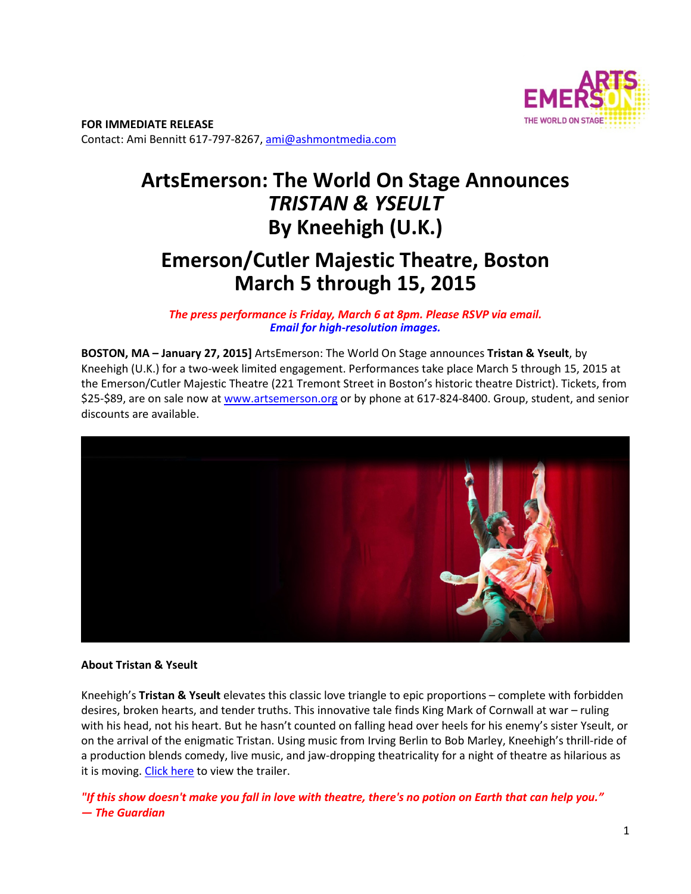

**FOR IMMEDIATE RELEASE**  Contact: Ami Bennitt 617‐797‐8267, ami@ashmontmedia.com

# **ArtsEmerson: The World On Stage Announces**  *TRISTAN & YSEULT* **By Kneehigh (U.K.)**

## **Emerson/Cutler Majestic Theatre, Boston March 5 through 15, 2015**

*The press performance is Friday, March 6 at 8pm. Please RSVP via email. Email for high-resolution images.* 

**BOSTON, MA – January 27, 2015]** ArtsEmerson: The World On Stage announces **Tristan & Yseult**, by Kneehigh (U.K.) for a two-week limited engagement. Performances take place March 5 through 15, 2015 at the Emerson/Cutler Majestic Theatre (221 Tremont Street in Boston's historic theatre District). Tickets, from \$25‐\$89, are on sale now at www.artsemerson.org or by phone at 617‐824‐8400. Group, student, and senior discounts are available.



#### **About Tristan & Yseult**

Kneehigh's **Tristan & Yseult** elevates this classic love triangle to epic proportions – complete with forbidden desires, broken hearts, and tender truths. This innovative tale finds King Mark of Cornwall at war – ruling with his head, not his heart. But he hasn't counted on falling head over heels for his enemy's sister Yseult, or on the arrival of the enigmatic Tristan. Using music from Irving Berlin to Bob Marley, Kneehigh's thrill‐ride of a production blends comedy, live music, and jaw‐dropping theatricality for a night of theatre as hilarious as it is moving. Click here to view the trailer.

*"If this show doesn't make you fall in love with theatre, there's no potion on Earth that can help you." — The Guardian*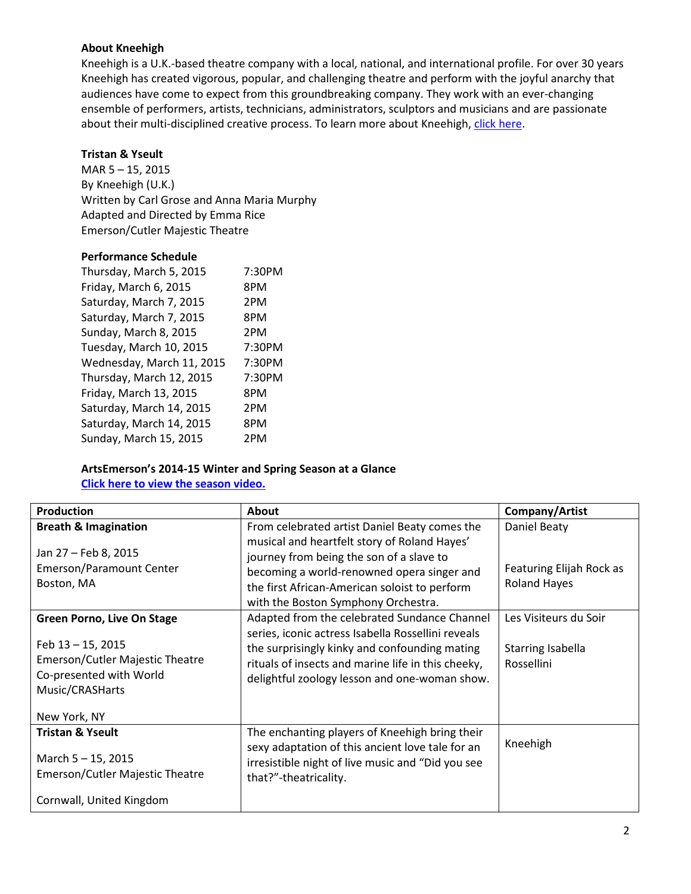#### **About Kneehigh**

Kneehigh is a U.K.‐based theatre company with a local, national, and international profile. For over 30 years Kneehigh has created vigorous, popular, and challenging theatre and perform with the joyful anarchy that audiences have come to expect from this groundbreaking company. They work with an ever‐changing ensemble of performers, artists, technicians, administrators, sculptors and musicians and are passionate about their multi-disciplined creative process. To learn more about Kneehigh, click here.

#### **Tristan & Yseult**

MAR 5 – 15, 2015 By Kneehigh (U.K.) Written by Carl Grose and Anna Maria Murphy Adapted and Directed by Emma Rice Emerson/Cutler Majestic Theatre

#### **Performance Schedule**

| 7:30PM |
|--------|
| 8PM    |
| 2PM    |
| 8PM    |
| 2PM    |
| 7:30PM |
| 7:30PM |
| 7:30PM |
| 8PM    |
| 2PM    |
| 8PM    |
| 2PM    |
|        |

### **ArtsEmerson's 2014-15 Winter and Spring Season at a Glance**

**Click here to view the season video.**

| <b>Production</b>                                                                                         | <b>About</b>                                                                                                                                                                                                                   | Company/Artist                                  |
|-----------------------------------------------------------------------------------------------------------|--------------------------------------------------------------------------------------------------------------------------------------------------------------------------------------------------------------------------------|-------------------------------------------------|
| <b>Breath &amp; Imagination</b>                                                                           | From celebrated artist Daniel Beaty comes the                                                                                                                                                                                  | Daniel Beaty                                    |
| Jan 27 - Feb 8, 2015<br><b>Emerson/Paramount Center</b><br>Boston, MA                                     | musical and heartfelt story of Roland Hayes'<br>journey from being the son of a slave to<br>becoming a world-renowned opera singer and<br>the first African-American soloist to perform<br>with the Boston Symphony Orchestra. | Featuring Elijah Rock as<br><b>Roland Hayes</b> |
| <b>Green Porno, Live On Stage</b>                                                                         | Adapted from the celebrated Sundance Channel                                                                                                                                                                                   | Les Visiteurs du Soir                           |
| Feb 13 - 15, 2015<br><b>Emerson/Cutler Majestic Theatre</b><br>Co-presented with World<br>Music/CRASHarts | series, iconic actress Isabella Rossellini reveals<br>the surprisingly kinky and confounding mating<br>rituals of insects and marine life in this cheeky,<br>delightful zoology lesson and one-woman show.                     | Starring Isabella<br>Rossellini                 |
| New York, NY                                                                                              |                                                                                                                                                                                                                                |                                                 |
| <b>Tristan &amp; Yseult</b><br>March 5 - 15, 2015<br>Emerson/Cutler Majestic Theatre                      | The enchanting players of Kneehigh bring their<br>sexy adaptation of this ancient love tale for an<br>irresistible night of live music and "Did you see<br>that?"-theatricality.                                               | Kneehigh                                        |
| Cornwall, United Kingdom                                                                                  |                                                                                                                                                                                                                                |                                                 |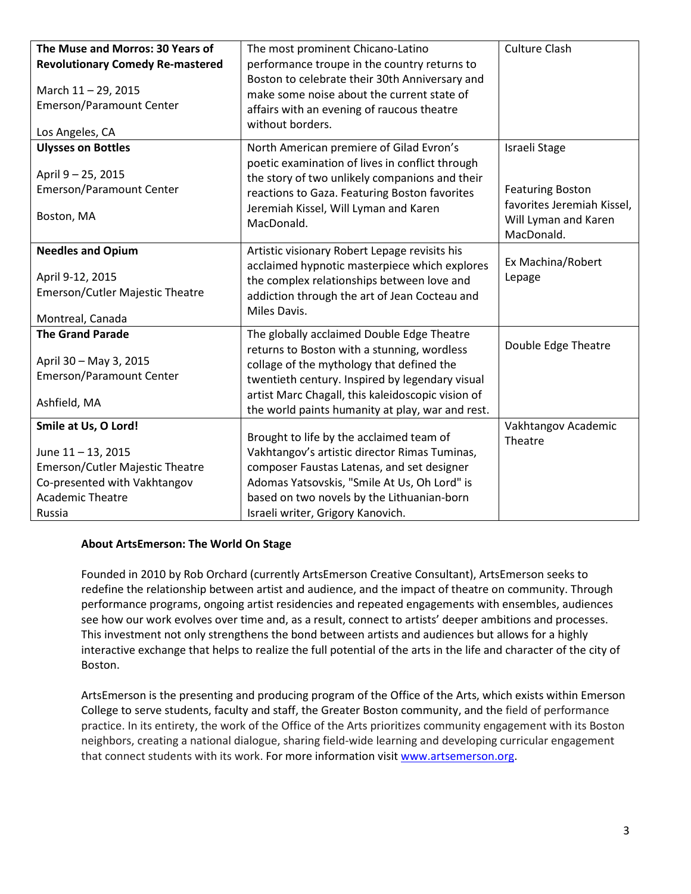| The Muse and Morros: 30 Years of<br><b>Revolutionary Comedy Re-mastered</b><br>March 11-29, 2015<br><b>Emerson/Paramount Center</b><br>Los Angeles, CA | The most prominent Chicano-Latino<br>performance troupe in the country returns to<br>Boston to celebrate their 30th Anniversary and<br>make some noise about the current state of<br>affairs with an evening of raucous theatre<br>without borders.                                                | <b>Culture Clash</b>                                                                                         |
|--------------------------------------------------------------------------------------------------------------------------------------------------------|----------------------------------------------------------------------------------------------------------------------------------------------------------------------------------------------------------------------------------------------------------------------------------------------------|--------------------------------------------------------------------------------------------------------------|
| <b>Ulysses on Bottles</b><br>April 9 - 25, 2015<br>Emerson/Paramount Center<br>Boston, MA                                                              | North American premiere of Gilad Evron's<br>poetic examination of lives in conflict through<br>the story of two unlikely companions and their<br>reactions to Gaza. Featuring Boston favorites<br>Jeremiah Kissel, Will Lyman and Karen<br>MacDonald.                                              | Israeli Stage<br><b>Featuring Boston</b><br>favorites Jeremiah Kissel,<br>Will Lyman and Karen<br>MacDonald. |
| <b>Needles and Opium</b><br>April 9-12, 2015<br><b>Emerson/Cutler Majestic Theatre</b><br>Montreal, Canada                                             | Artistic visionary Robert Lepage revisits his<br>acclaimed hypnotic masterpiece which explores<br>the complex relationships between love and<br>addiction through the art of Jean Cocteau and<br>Miles Davis.                                                                                      | Ex Machina/Robert<br>Lepage                                                                                  |
| <b>The Grand Parade</b><br>April 30 - May 3, 2015<br><b>Emerson/Paramount Center</b><br>Ashfield, MA                                                   | The globally acclaimed Double Edge Theatre<br>returns to Boston with a stunning, wordless<br>collage of the mythology that defined the<br>twentieth century. Inspired by legendary visual<br>artist Marc Chagall, this kaleidoscopic vision of<br>the world paints humanity at play, war and rest. | Double Edge Theatre                                                                                          |
| Smile at Us, O Lord!<br>June 11 - 13, 2015<br>Emerson/Cutler Majestic Theatre<br>Co-presented with Vakhtangov<br><b>Academic Theatre</b><br>Russia     | Brought to life by the acclaimed team of<br>Vakhtangov's artistic director Rimas Tuminas,<br>composer Faustas Latenas, and set designer<br>Adomas Yatsovskis, "Smile At Us, Oh Lord" is<br>based on two novels by the Lithuanian-born<br>Israeli writer, Grigory Kanovich.                         | Vakhtangov Academic<br>Theatre                                                                               |

#### **About ArtsEmerson: The World On Stage**

Founded in 2010 by Rob Orchard (currently ArtsEmerson Creative Consultant), ArtsEmerson seeks to redefine the relationship between artist and audience, and the impact of theatre on community. Through performance programs, ongoing artist residencies and repeated engagements with ensembles, audiences see how our work evolves over time and, as a result, connect to artists' deeper ambitions and processes. This investment not only strengthens the bond between artists and audiences but allows for a highly interactive exchange that helps to realize the full potential of the arts in the life and character of the city of Boston.

ArtsEmerson is the presenting and producing program of the Office of the Arts, which exists within Emerson College to serve students, faculty and staff, the Greater Boston community, and the field of performance practice. In its entirety, the work of the Office of the Arts prioritizes community engagement with its Boston neighbors, creating a national dialogue, sharing field‐wide learning and developing curricular engagement that connect students with its work. For more information visit www.artsemerson.org.